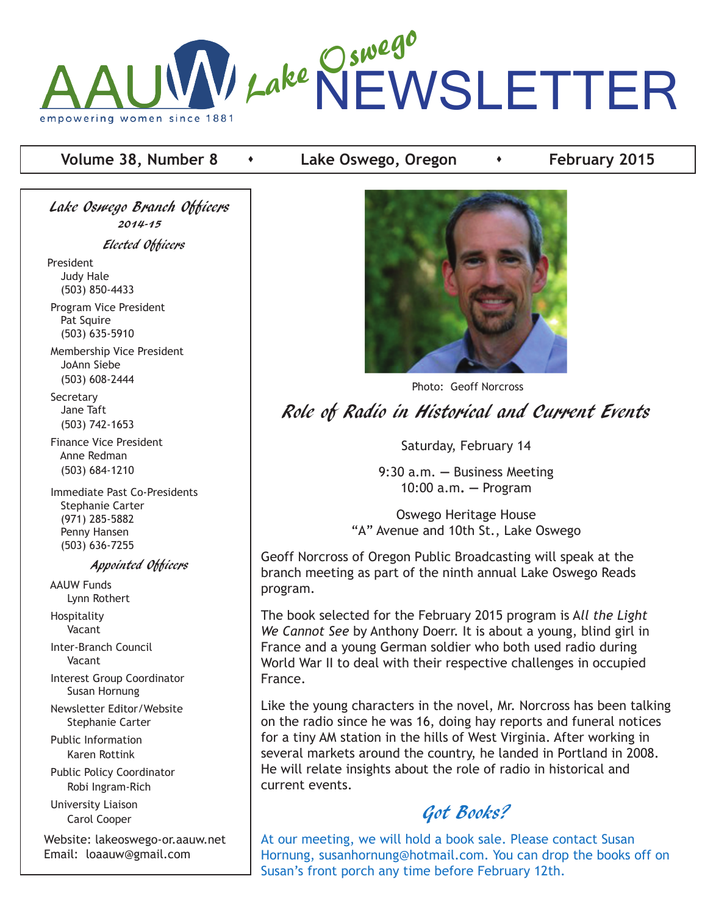

#### **Volume 38, Number 8**  $\rightarrow$  Lake Oswego, Oregon  $\rightarrow$  February 2015

Lake Oswego Branch Officers 2014-15 Elected Officers

President Judy Hale (503) 850-4433

 Program Vice President Pat Squire (503) 635-5910

 Membership Vice President JoAnn Siebe (503) 608-2444

**Secretary**  Jane Taft (503) 742-1653

 Finance Vice President Anne Redman (503) 684-1210

 Immediate Past Co-Presidents Stephanie Carter (971) 285-5882 Penny Hansen (503) 636-7255

#### Appointed Officers

 AAUW Funds Lynn Rothert

 Hospitality Vacant

 Inter-Branch Council Vacant

 Interest Group Coordinator Susan Hornung

 Newsletter Editor/Website Stephanie Carter

 Public Information Karen Rottink

 Public Policy Coordinator Robi Ingram-Rich

 University Liaison Carol Cooper

Website: lakeoswego-or.aauw.net Email: loaauw@gmail.com



Photo: Geoff Norcross

Role of Radio in Historical and Current Events

Saturday, February 14

9:30 a.m. **—** Business Meeting 10:00 a.m**. —** Program

Oswego Heritage House "A" Avenue and 10th St., Lake Oswego

Geoff Norcross of Oregon Public Broadcasting will speak at the branch meeting as part of the ninth annual Lake Oswego Reads program.

The book selected for the February 2015 program is A*ll the Light We Cannot See* by Anthony Doerr. It is about a young, blind girl in France and a young German soldier who both used radio during World War II to deal with their respective challenges in occupied France.

Like the young characters in the novel, Mr. Norcross has been talking on the radio since he was 16, doing hay reports and funeral notices for a tiny AM station in the hills of West Virginia. After working in several markets around the country, he landed in Portland in 2008. He will relate insights about the role of radio in historical and current events.

# Got Books?

At our meeting, we will hold a book sale. Please contact Susan Hornung, susanhornung@hotmail.com. You can drop the books off on Susan's front porch any time before February 12th.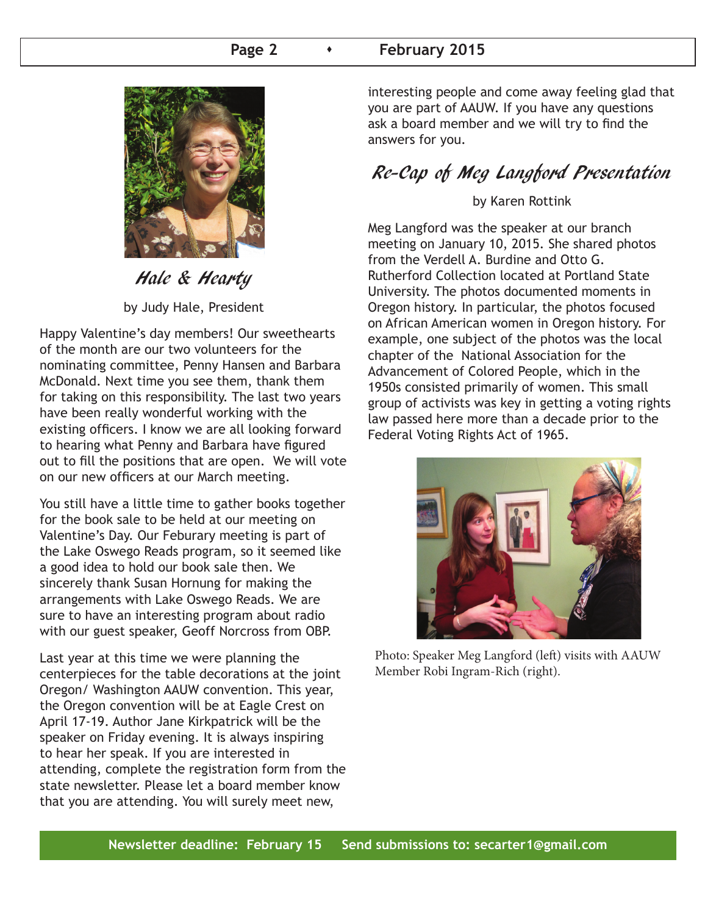#### **Page 2 Case 1 February 2015**



Hale & Hearty by Judy Hale, President

Happy Valentine's day members! Our sweethearts of the month are our two volunteers for the nominating committee, Penny Hansen and Barbara McDonald. Next time you see them, thank them for taking on this responsibility. The last two years have been really wonderful working with the existing officers. I know we are all looking forward to hearing what Penny and Barbara have figured out to fill the positions that are open. We will vote on our new officers at our March meeting.

You still have a little time to gather books together for the book sale to be held at our meeting on Valentine's Day. Our Feburary meeting is part of the Lake Oswego Reads program, so it seemed like a good idea to hold our book sale then. We sincerely thank Susan Hornung for making the arrangements with Lake Oswego Reads. We are sure to have an interesting program about radio with our guest speaker, Geoff Norcross from OBP.

Last year at this time we were planning the centerpieces for the table decorations at the joint Oregon/ Washington AAUW convention. This year, the Oregon convention will be at Eagle Crest on April 17-19. Author Jane Kirkpatrick will be the speaker on Friday evening. It is always inspiring to hear her speak. If you are interested in attending, complete the registration form from the state newsletter. Please let a board member know that you are attending. You will surely meet new,

interesting people and come away feeling glad that you are part of AAUW. If you have any questions ask a board member and we will try to find the answers for you.

# Re-Cap of Meg Langford Presentation

#### by Karen Rottink

Meg Langford was the speaker at our branch meeting on January 10, 2015. She shared photos from the Verdell A. Burdine and Otto G. Rutherford Collection located at Portland State University. The photos documented moments in Oregon history. In particular, the photos focused on African American women in Oregon history. For example, one subject of the photos was the local chapter of the National Association for the Advancement of Colored People, which in the 1950s consisted primarily of women. This small group of activists was key in getting a voting rights law passed here more than a decade prior to the Federal Voting Rights Act of 1965.



Photo: Speaker Meg Langford (left) visits with AAUW Member Robi Ingram-Rich (right).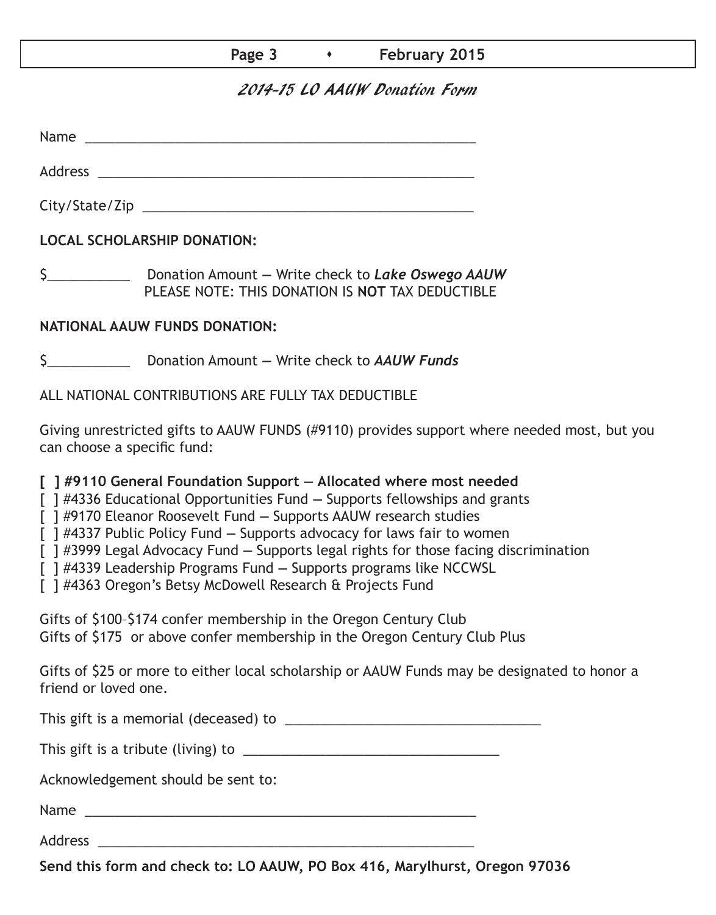#### **Page 3 Case 10 12 Tebruary 2015**

### 2014-15 LO AAUW Donation Form

Name was also as  $\sim$  100  $\mu$  and  $\mu$  and  $\mu$  and  $\mu$  and  $\mu$  and  $\mu$  and  $\mu$  and  $\mu$  and  $\mu$  and  $\mu$  and  $\mu$  and  $\mu$  and  $\mu$  and  $\mu$  and  $\mu$  and  $\mu$  and  $\mu$  and  $\mu$  and  $\mu$  and  $\mu$  and  $\mu$  and  $\mu$  an

Address \_\_\_\_\_\_\_\_\_\_\_\_\_\_\_\_\_\_\_\_\_\_\_\_\_\_\_\_\_\_\_\_\_\_\_\_\_\_\_\_\_\_\_\_\_\_\_\_\_\_

City/State/Zip 2000 and 2000 and 2000 and 2000 and 2000 and 2000 and 2000 and 2000 and 2000 and 200

**LOCAL SCHOLARSHIP DONATION:**

\$\_\_\_\_\_\_\_\_\_\_\_ Donation Amount **—** Write check to *Lake Oswego AAUW* PLEASE NOTE: THIS DONATION IS **NOT** TAX DEDUCTIBLE

#### **NATIONAL AAUW FUNDS DONATION:**

\$\_\_\_\_\_\_\_\_\_\_\_ Donation Amount **—** Write check to *AAUW Funds*

ALL NATIONAL CONTRIBUTIONS ARE FULLY TAX DEDUCTIBLE

Giving unrestricted gifts to AAUW FUNDS (#9110) provides support where needed most, but you can choose a specific fund:

**[ ] #9110 General Foundation Support — Allocated where most needed** 

[ ] #4336 Educational Opportunities Fund **—** Supports fellowships and grants

[ ] #9170 Eleanor Roosevelt Fund **—** Supports AAUW research studies

[ ] #4337 Public Policy Fund **—** Supports advocacy for laws fair to women

[ ] #3999 Legal Advocacy Fund **—** Supports legal rights for those facing discrimination

[ ] #4339 Leadership Programs Fund **—** Supports programs like NCCWSL

[ ] #4363 Oregon's Betsy McDowell Research & Projects Fund

Gifts of \$100–\$174 confer membership in the Oregon Century Club Gifts of \$175 or above confer membership in the Oregon Century Club Plus

Gifts of \$25 or more to either local scholarship or AAUW Funds may be designated to honor a friend or loved one.

This gift is a memorial (deceased) to \_\_\_\_\_\_\_\_\_\_\_\_\_\_\_\_\_\_\_\_\_\_\_\_\_\_\_\_\_\_\_\_\_\_

This gift is a tribute (living) to \_\_\_\_\_\_\_\_\_\_\_\_\_\_\_\_\_\_\_\_\_\_\_\_\_\_\_\_\_\_\_\_\_\_

Acknowledgement should be sent to:

Name \_\_\_\_\_\_\_\_\_\_\_\_\_\_\_\_\_\_\_\_\_\_\_\_\_\_\_\_\_\_\_\_\_\_\_\_\_\_\_\_\_\_\_\_\_\_\_\_\_\_\_\_

Address \_\_\_\_\_\_\_\_\_\_\_\_\_\_\_\_\_\_\_\_\_\_\_\_\_\_\_\_\_\_\_\_\_\_\_\_\_\_\_\_\_\_\_\_\_\_\_\_\_\_

**Send this form and check to: LO AAUW, PO Box 416, Marylhurst, Oregon 97036**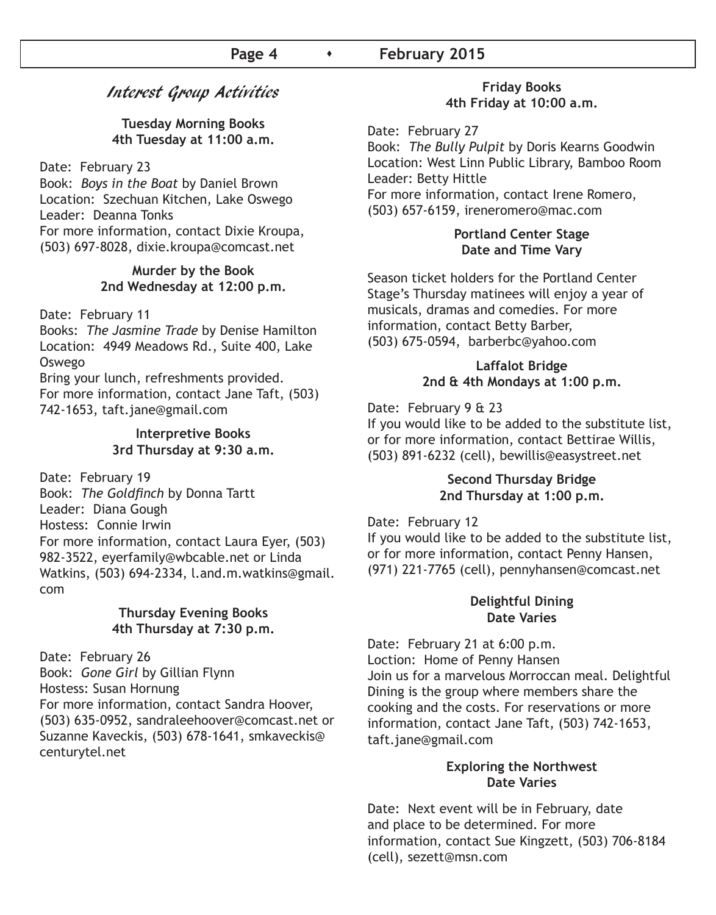### Interest Group Activities

**Tuesday Morning Books 4th Tuesday at 11:00 a.m.**

Date: February 23

Book: *Boys in the Boat* by Daniel Brown Location: Szechuan Kitchen, Lake Oswego Leader: Deanna Tonks For more information, contact Dixie Kroupa, (503) 697-8028, dixie.kroupa@comcast.net

#### **Murder by the Book 2nd Wednesday at 12:00 p.m.**

Date: February 11

Books: *The Jasmine Trade* by Denise Hamilton Location: 4949 Meadows Rd., Suite 400, Lake Oswego

Bring your lunch, refreshments provided. For more information, contact Jane Taft, (503) 742-1653, taft.jane@gmail.com

#### **Interpretive Books 3rd Thursday at 9:30 a.m.**

Date: February 19 Book: *The Goldfinch* by Donna Tartt Leader: Diana Gough Hostess: Connie Irwin For more information, contact Laura Eyer, (503) 982-3522, eyerfamily@wbcable.net or Linda Watkins, (503) 694-2334, l.and.m.watkins@gmail. com

#### **Thursday Evening Books 4th Thursday at 7:30 p.m.**

Date: February 26 Book: *Gone Girl* by Gillian Flynn Hostess: Susan Hornung For more information, contact Sandra Hoover, (503) 635-0952, sandraleehoover@comcast.net or Suzanne Kaveckis, (503) 678-1641, smkaveckis@ centurytel.net

#### **Friday Books 4th Friday at 10:00 a.m.**

Date: February 27

Book: *The Bully Pulpit* by Doris Kearns Goodwin Location: West Linn Public Library, Bamboo Room Leader: Betty Hittle For more information, contact Irene Romero, (503) 657-6159, ireneromero@mac.com

#### **Portland Center Stage Date and Time Vary**

Season ticket holders for the Portland Center Stage's Thursday matinees will enjoy a year of musicals, dramas and comedies. For more information, contact Betty Barber, (503) 675-0594, barberbc@yahoo.com

#### **Laffalot Bridge 2nd & 4th Mondays at 1:00 p.m.**

Date: February 9 & 23

If you would like to be added to the substitute list, or for more information, contact Bettirae Willis, (503) 891-6232 (cell), bewillis@easystreet.net

#### **Second Thursday Bridge 2nd Thursday at 1:00 p.m.**

Date: February 12 If you would like to be added to the substitute list, or for more information, contact Penny Hansen, (971) 221-7765 (cell), pennyhansen@comcast.net

#### **Delightful Dining Date Varies**

Date: February 21 at 6:00 p.m. Loction: Home of Penny Hansen Join us for a marvelous Morroccan meal. Delightful Dining is the group where members share the cooking and the costs. For reservations or more information, contact Jane Taft, (503) 742-1653, taft.jane@gmail.com

#### **Exploring the Northwest Date Varies**

Date: Next event will be in February, date and place to be determined. For more information, contact Sue Kingzett, (503) 706-8184 (cell), sezett@msn.com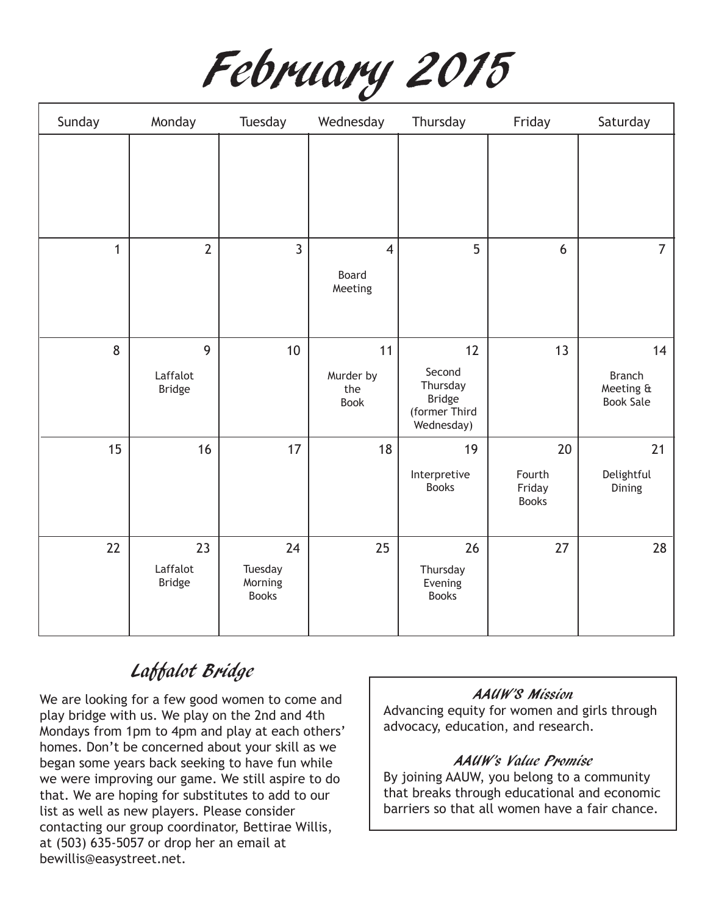

| Sunday       | Monday                          | Tuesday                                  | Wednesday                          | Thursday                                                                 | Friday                                 | Saturday                                             |
|--------------|---------------------------------|------------------------------------------|------------------------------------|--------------------------------------------------------------------------|----------------------------------------|------------------------------------------------------|
|              |                                 |                                          |                                    |                                                                          |                                        |                                                      |
| $\mathbf{1}$ | $\overline{2}$                  | $\overline{3}$                           | $\overline{4}$<br>Board<br>Meeting | 5                                                                        | 6                                      | $\overline{7}$                                       |
| 8            | 9<br>Laffalot<br><b>Bridge</b>  | 10                                       | 11<br>Murder by<br>the<br>Book     | 12<br>Second<br>Thursday<br><b>Bridge</b><br>(former Third<br>Wednesday) | 13                                     | 14<br><b>Branch</b><br>Meeting &<br><b>Book Sale</b> |
| 15           | 16                              | 17                                       | 18                                 | 19<br>Interpretive<br><b>Books</b>                                       | 20<br>Fourth<br>Friday<br><b>Books</b> | 21<br>Delightful<br>Dining                           |
| 22           | 23<br>Laffalot<br><b>Bridge</b> | 24<br>Tuesday<br>Morning<br><b>Books</b> | 25                                 | 26<br>Thursday<br>Evening<br><b>Books</b>                                | 27                                     | 28                                                   |

# Laffalot Bridge

We are looking for a few good women to come and play bridge with us. We play on the 2nd and 4th Mondays from 1pm to 4pm and play at each others' homes. Don't be concerned about your skill as we began some years back seeking to have fun while we were improving our game. We still aspire to do that. We are hoping for substitutes to add to our list as well as new players. Please consider contacting our group coordinator, Bettirae Willis, at (503) 635-5057 or drop her an email at bewillis@easystreet.net.

#### AAUW'S Mission

Advancing equity for women and girls through advocacy, education, and research.

#### AAUW's Value Promise

By joining AAUW, you belong to a community that breaks through educational and economic barriers so that all women have a fair chance.